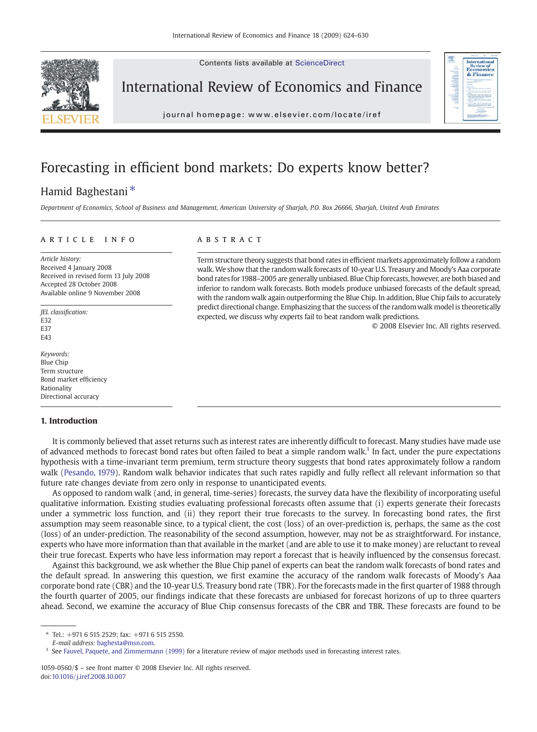

Contents lists available at ScienceDirect

## International Review of Economics and Finance

journal homepage: www.elsevier.com/locate/iref

# Forecasting in efficient bond markets: Do experts know better?

## Hamid Baghestani<sup>\*</sup>

Department of Economics, School of Business and Management, American University of Sharjah, P.O. Box 26666, Sharjah, United Arab Emirates

### article info abstract

Article history: Received 4 January 2008 Received in revised form 13 July 2008 Accepted 28 October 2008 Available online 9 November 2008

JEL classification: E32 E37 E43

Keywords: Blue Chip Term structure Bond market efficiency Rationality Directional accuracy

#### 1. Introduction

Term structure theory suggests that bond rates in efficient markets approximately follow a random walk. We show that the random walk forecasts of 10-year U.S. Treasury and Moody's Aaa corporate bond rates for 1988–2005 are generally unbiased. Blue Chip forecasts, however, are both biased and inferior to random walk forecasts. Both models produce unbiased forecasts of the default spread, with the random walk again outperforming the Blue Chip. In addition, Blue Chip fails to accurately predict directional change. Emphasizing that the success of the randomwalk model is theoretically expected, we discuss why experts fail to beat random walk predictions.

© 2008 Elsevier Inc. All rights reserved.

ew of & Finance

It is commonly believed that asset returns such as interest rates are inherently difficult to forecast. Many studies have made use of advanced methods to forecast bond rates but often failed to beat a simple random walk.<sup>1</sup> In fact, under the pure expectations hypothesis with a time-invariant term premium, term structure theory suggests that bond rates approximately follow a random walk ([Pesando, 1979\)](#page--1-0). Random walk behavior indicates that such rates rapidly and fully reflect all relevant information so that future rate changes deviate from zero only in response to unanticipated events.

As opposed to random walk (and, in general, time-series) forecasts, the survey data have the flexibility of incorporating useful qualitative information. Existing studies evaluating professional forecasts often assume that (i) experts generate their forecasts under a symmetric loss function, and (ii) they report their true forecasts to the survey. In forecasting bond rates, the first assumption may seem reasonable since, to a typical client, the cost (loss) of an over-prediction is, perhaps, the same as the cost (loss) of an under-prediction. The reasonability of the second assumption, however, may not be as straightforward. For instance, experts who have more information than that available in the market (and are able to use it to make money) are reluctant to reveal their true forecast. Experts who have less information may report a forecast that is heavily influenced by the consensus forecast.

Against this background, we ask whether the Blue Chip panel of experts can beat the random walk forecasts of bond rates and the default spread. In answering this question, we first examine the accuracy of the random walk forecasts of Moody's Aaa corporate bond rate (CBR) and the 10-year U.S. Treasury bond rate (TBR). For the forecasts made in the first quarter of 1988 through the fourth quarter of 2005, our findings indicate that these forecasts are unbiased for forecast horizons of up to three quarters ahead. Second, we examine the accuracy of Blue Chip consensus forecasts of the CBR and TBR. These forecasts are found to be

E-mail address: [baghesta@msn.com.](mailto:baghesta@msn.com)

 $*$  Tel.:  $+971$  6 515 2529: fax:  $+971$  6 515 2550.

<sup>&</sup>lt;sup>1</sup> See [Fauvel, Paquete, and Zimmermann \(1999\)](#page--1-0) for a literature review of major methods used in forecasting interest rates.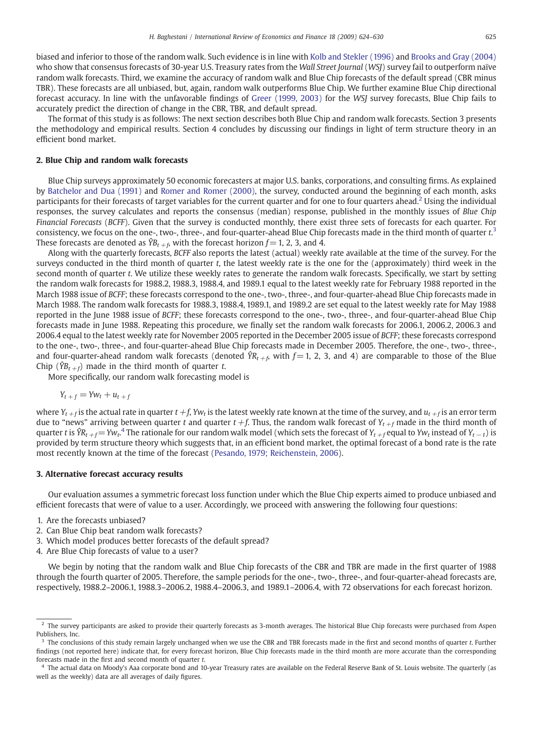biased and inferior to those of the random walk. Such evidence is in line with [Kolb and Stekler \(1996\)](#page--1-0) and [Brooks and Gray \(2004\)](#page--1-0) who show that consensus forecasts of 30-year U.S. Treasury rates from the Wall Street Journal (WSJ) survey fail to outperform naïve random walk forecasts. Third, we examine the accuracy of random walk and Blue Chip forecasts of the default spread (CBR minus TBR). These forecasts are all unbiased, but, again, random walk outperforms Blue Chip. We further examine Blue Chip directional forecast accuracy. In line with the unfavorable findings of [Greer \(1999, 2003\)](#page--1-0) for the WSJ survey forecasts, Blue Chip fails to accurately predict the direction of change in the CBR, TBR, and default spread.

The format of this study is as follows: The next section describes both Blue Chip and random walk forecasts. Section 3 presents the methodology and empirical results. Section 4 concludes by discussing our findings in light of term structure theory in an efficient bond market.

#### 2. Blue Chip and random walk forecasts

Blue Chip surveys approximately 50 economic forecasters at major U.S. banks, corporations, and consulting firms. As explained by [Batchelor and Dua \(1991\)](#page--1-0) and [Romer and Romer \(2000\)](#page--1-0), the survey, conducted around the beginning of each month, asks participants for their forecasts of target variables for the current quarter and for one to four quarters ahead.<sup>2</sup> Using the individual responses, the survey calculates and reports the consensus (median) response, published in the monthly issues of Blue Chip Financial Forecasts (BCFF). Given that the survey is conducted monthly, there exist three sets of forecasts for each quarter. For consistency, we focus on the one-, two-, three-, and four-quarter-ahead Blue Chip forecasts made in the third month of quarter  $t.^3$ These forecasts are denoted as  $\hat{Y}B_{t+6}$ , with the forecast horizon  $f= 1, 2, 3$ , and 4.

Along with the quarterly forecasts, BCFF also reports the latest (actual) weekly rate available at the time of the survey. For the surveys conducted in the third month of quarter t, the latest weekly rate is the one for the (approximately) third week in the second month of quarter t. We utilize these weekly rates to generate the random walk forecasts. Specifically, we start by setting the random walk forecasts for 1988.2, 1988.3, 1988.4, and 1989.1 equal to the latest weekly rate for February 1988 reported in the March 1988 issue of BCFF; these forecasts correspond to the one-, two-, three-, and four-quarter-ahead Blue Chip forecasts made in March 1988. The random walk forecasts for 1988.3, 1988.4, 1989.1, and 1989.2 are set equal to the latest weekly rate for May 1988 reported in the June 1988 issue of BCFF; these forecasts correspond to the one-, two-, three-, and four-quarter-ahead Blue Chip forecasts made in June 1988. Repeating this procedure, we finally set the random walk forecasts for 2006.1, 2006.2, 2006.3 and 2006.4 equal to the latest weekly rate for November 2005 reported in the December 2005 issue of BCFF; these forecasts correspond to the one-, two-, three-, and four-quarter-ahead Blue Chip forecasts made in December 2005. Therefore, the one-, two-, three-, and four-quarter-ahead random walk forecasts (denoted  $\hat{Y}_{R_t}$  with  $f=1$ , 2, 3, and 4) are comparable to those of the Blue Chip ( $\hat{Y}B_{t+f}$ ) made in the third month of quarter t.

More specifically, our random walk forecasting model is

$$
Y_{t+f} = Yw_t + u_{t+f}
$$

where  $Y_{t+f}$  is the actual rate in quarter  $t+f$ , Yw<sub>t</sub> is the latest weekly rate known at the time of the survey, and  $u_{t+f}$  is an error term due to "news" arriving between quarter t and quarter  $t+f$ . Thus, the random walk forecast of  $Y_{t+f}$  made in the third month of quarter  $t$  is  $\hat{YR}_{t+f}=Yw_t$ .<sup>4</sup> The rationale for our random walk model (which sets the forecast of  $Y_{t+f}$ equal to Yw<sub>t</sub> instead of Y<sub>t−1</sub>) is provided by term structure theory which suggests that, in an efficient bond market, the optimal forecast of a bond rate is the rate most recently known at the time of the forecast [\(Pesando, 1979; Reichenstein, 2006\)](#page--1-0).

#### 3. Alternative forecast accuracy results

Our evaluation assumes a symmetric forecast loss function under which the Blue Chip experts aimed to produce unbiased and efficient forecasts that were of value to a user. Accordingly, we proceed with answering the following four questions:

- 1. Are the forecasts unbiased?
- 2. Can Blue Chip beat random walk forecasts?
- 3. Which model produces better forecasts of the default spread?
- 4. Are Blue Chip forecasts of value to a user?

We begin by noting that the random walk and Blue Chip forecasts of the CBR and TBR are made in the first quarter of 1988 through the fourth quarter of 2005. Therefore, the sample periods for the one-, two-, three-, and four-quarter-ahead forecasts are, respectively, 1988.2–2006.1, 1988.3–2006.2, 1988.4–2006.3, and 1989.1–2006.4, with 72 observations for each forecast horizon.

<sup>&</sup>lt;sup>2</sup> The survey participants are asked to provide their quarterly forecasts as 3-month averages. The historical Blue Chip forecasts were purchased from Aspen Publishers, Inc.

 $3$  The conclusions of this study remain largely unchanged when we use the CBR and TBR forecasts made in the first and second months of quarter t. Further findings (not reported here) indicate that, for every forecast horizon, Blue Chip forecasts made in the third month are more accurate than the corresponding forecasts made in the first and second month of quarter t.

<sup>4</sup> The actual data on Moody's Aaa corporate bond and 10-year Treasury rates are available on the Federal Reserve Bank of St. Louis website. The quarterly (as well as the weekly) data are all averages of daily figures.